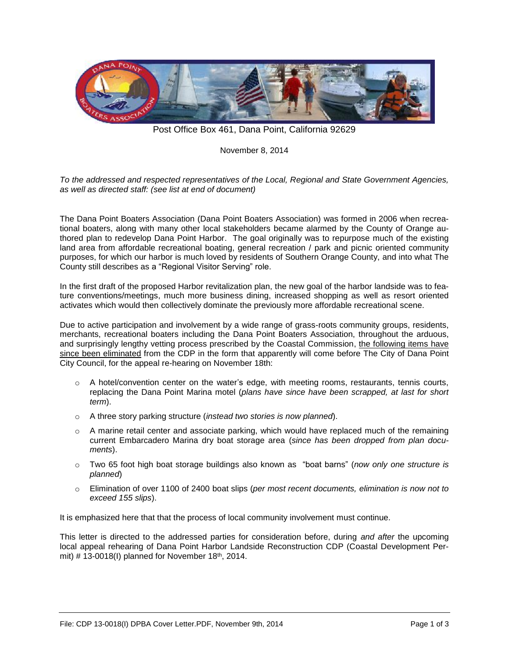

Post Office Box 461, Dana Point, California 92629

November 8, 2014

*To the addressed and respected representatives of the Local, Regional and State Government Agencies, as well as directed staff: (see list at end of document)*

The Dana Point Boaters Association (Dana Point Boaters Association) was formed in 2006 when recreational boaters, along with many other local stakeholders became alarmed by the County of Orange authored plan to redevelop Dana Point Harbor. The goal originally was to repurpose much of the existing land area from affordable recreational boating, general recreation / park and picnic oriented community purposes, for which our harbor is much loved by residents of Southern Orange County, and into what The County still describes as a "Regional Visitor Serving" role.

In the first draft of the proposed Harbor revitalization plan, the new goal of the harbor landside was to feature conventions/meetings, much more business dining, increased shopping as well as resort oriented activates which would then collectively dominate the previously more affordable recreational scene.

Due to active participation and involvement by a wide range of grass-roots community groups, residents, merchants, recreational boaters including the Dana Point Boaters Association, throughout the arduous, and surprisingly lengthy vetting process prescribed by the Coastal Commission, the following items have since been eliminated from the CDP in the form that apparently will come before The City of Dana Point City Council, for the appeal re-hearing on November 18th:

- o A hotel/convention center on the water's edge, with meeting rooms, restaurants, tennis courts, replacing the Dana Point Marina motel (*plans have since have been scrapped, at last for short term*).
- o A three story parking structure (*instead two stories is now planned*).
- $\circ$  A marine retail center and associate parking, which would have replaced much of the remaining current Embarcadero Marina dry boat storage area (*since has been dropped from plan documents*).
- o Two 65 foot high boat storage buildings also known as "boat barns" (*now only one structure is planned*)
- o Elimination of over 1100 of 2400 boat slips (*per most recent documents, elimination is now not to exceed 155 slips*).

It is emphasized here that that the process of local community involvement must continue.

This letter is directed to the addressed parties for consideration before, during *and after* the upcoming local appeal rehearing of Dana Point Harbor Landside Reconstruction CDP (Coastal Development Permit)  $\#$  13-0018(I) planned for November 18<sup>th</sup>, 2014.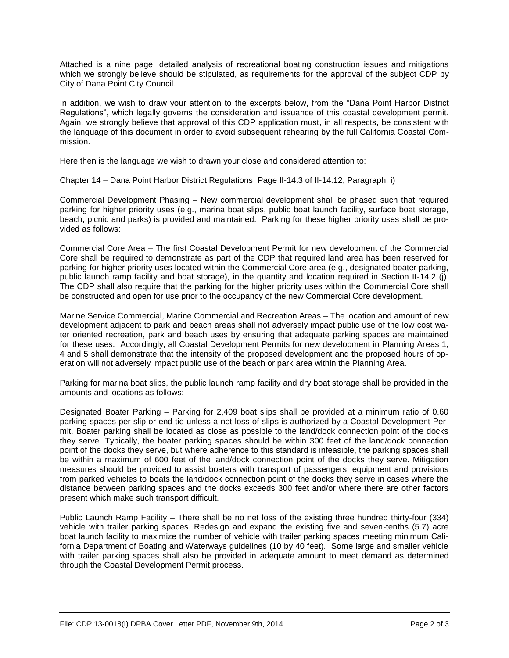Attached is a nine page, detailed analysis of recreational boating construction issues and mitigations which we strongly believe should be stipulated, as requirements for the approval of the subject CDP by City of Dana Point City Council.

In addition, we wish to draw your attention to the excerpts below, from the "Dana Point Harbor District Regulations", which legally governs the consideration and issuance of this coastal development permit. Again, we strongly believe that approval of this CDP application must, in all respects, be consistent with the language of this document in order to avoid subsequent rehearing by the full California Coastal Commission.

Here then is the language we wish to drawn your close and considered attention to:

Chapter 14 – Dana Point Harbor District Regulations, Page II-14.3 of II-14.12, Paragraph: i)

Commercial Development Phasing – New commercial development shall be phased such that required parking for higher priority uses (e.g., marina boat slips, public boat launch facility, surface boat storage, beach, picnic and parks) is provided and maintained. Parking for these higher priority uses shall be provided as follows:

Commercial Core Area – The first Coastal Development Permit for new development of the Commercial Core shall be required to demonstrate as part of the CDP that required land area has been reserved for parking for higher priority uses located within the Commercial Core area (e.g., designated boater parking, public launch ramp facility and boat storage), in the quantity and location required in Section II-14.2 (i). The CDP shall also require that the parking for the higher priority uses within the Commercial Core shall be constructed and open for use prior to the occupancy of the new Commercial Core development.

Marine Service Commercial, Marine Commercial and Recreation Areas – The location and amount of new development adjacent to park and beach areas shall not adversely impact public use of the low cost water oriented recreation, park and beach uses by ensuring that adequate parking spaces are maintained for these uses. Accordingly, all Coastal Development Permits for new development in Planning Areas 1, 4 and 5 shall demonstrate that the intensity of the proposed development and the proposed hours of operation will not adversely impact public use of the beach or park area within the Planning Area.

Parking for marina boat slips, the public launch ramp facility and dry boat storage shall be provided in the amounts and locations as follows:

Designated Boater Parking – Parking for 2,409 boat slips shall be provided at a minimum ratio of 0.60 parking spaces per slip or end tie unless a net loss of slips is authorized by a Coastal Development Permit. Boater parking shall be located as close as possible to the land/dock connection point of the docks they serve. Typically, the boater parking spaces should be within 300 feet of the land/dock connection point of the docks they serve, but where adherence to this standard is infeasible, the parking spaces shall be within a maximum of 600 feet of the land/dock connection point of the docks they serve. Mitigation measures should be provided to assist boaters with transport of passengers, equipment and provisions from parked vehicles to boats the land/dock connection point of the docks they serve in cases where the distance between parking spaces and the docks exceeds 300 feet and/or where there are other factors present which make such transport difficult.

Public Launch Ramp Facility – There shall be no net loss of the existing three hundred thirty-four (334) vehicle with trailer parking spaces. Redesign and expand the existing five and seven-tenths (5.7) acre boat launch facility to maximize the number of vehicle with trailer parking spaces meeting minimum California Department of Boating and Waterways guidelines (10 by 40 feet). Some large and smaller vehicle with trailer parking spaces shall also be provided in adequate amount to meet demand as determined through the Coastal Development Permit process.